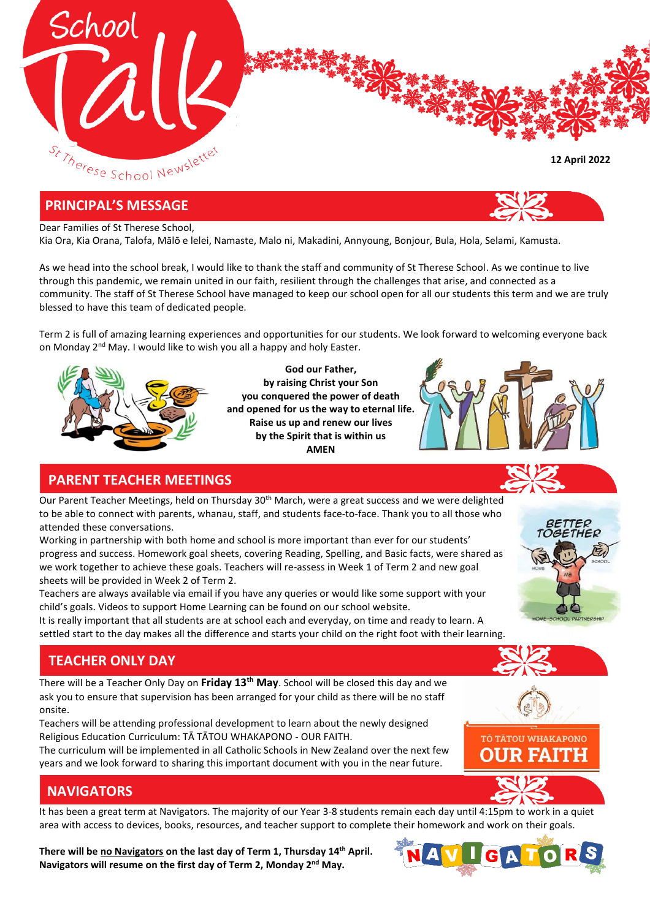

#### **PRINCIPAL'S MESSAGE**

#### Dear Families of St Therese School,

Kia Ora, Kia Orana, Talofa, Mālō e lelei, Namaste, Malo ni, Makadini, Annyoung, Bonjour, Bula, Hola, Selami, Kamusta.

As we head into the school break, I would like to thank the staff and community of St Therese School. As we continue to live through this pandemic, we remain united in our faith, resilient through the challenges that arise, and connected as a community. The staff of St Therese School have managed to keep our school open for all our students this term and we are truly blessed to have this team of dedicated people.

Term 2 is full of amazing learning experiences and opportunities for our students. We look forward to welcoming everyone back on Monday 2<sup>nd</sup> May. I would like to wish you all a happy and holy Easter.



**God our Father, by raising Christ your Son you conquered the power of death and opened for us the way to eternal life. Raise us up and renew our lives by the Spirit that is within us AMEN**



## **PARENT TEACHER MEETINGS**

Our Parent Teacher Meetings, held on Thursday 30<sup>th</sup> March, were a great success and we were delighted to be able to connect with parents, whanau, staff, and students face-to-face. Thank you to all those who attended these conversations.

Working in partnership with both home and school is more important than ever for our students' progress and success. Homework goal sheets, covering Reading, Spelling, and Basic facts, were shared as we work together to achieve these goals. Teachers will re-assess in Week 1 of Term 2 and new goal sheets will be provided in Week 2 of Term 2.

Teachers are always available via email if you have any queries or would like some support with your child's goals. Videos to support Home Learning can be found on our school website.

It is really important that all students are at school each and everyday, on time and ready to learn. A settled start to the day makes all the difference and starts your child on the right foot with their learning.

## **TEACHER ONLY DAY**

There will be a Teacher Only Day on **Friday 13th May**. School will be closed this day and we ask you to ensure that supervision has been arranged for your child as there will be no staff onsite.

Teachers will be attending professional development to learn about the newly designed Religious Education Curriculum: TĀ TĀTOU WHAKAPONO - OUR FAITH.

The curriculum will be implemented in all Catholic Schools in New Zealand over the next few years and we look forward to sharing this important document with you in the near future.

# TŌ TĀTOU WHAKAPONO RUSAVU:I

# **NAVIGATORS**

It has been a great term at Navigators. The majority of our Year 3-8 students remain each day until 4:15pm to work in a quiet area with access to devices, books, resources, and teacher support to complete their homework and work on their goals.

**There will be no Navigators on the last day of Term 1, Thursday 14 th April. Navigators will resume on the first day of Term 2, Monday 2nd May.**